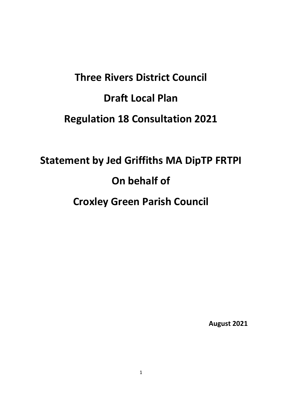# **Three Rivers District Council Draft Local Plan Regulation 18 Consultation 2021**

## **Statement by Jed Griffiths MA DipTP FRTPI On behalf of Croxley Green Parish Council**

**August 2021**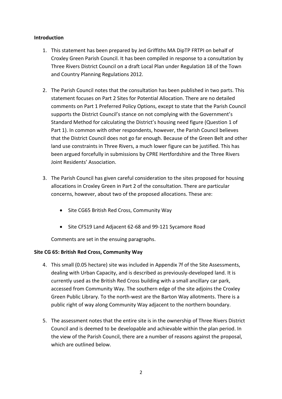#### **Introduction**

- 1. This statement has been prepared by Jed Griffiths MA DipTP FRTPI on behalf of Croxley Green Parish Council. It has been compiled in response to a consultation by Three Rivers District Council on a draft Local Plan under Regulation 18 of the Town and Country Planning Regulations 2012.
- 2. The Parish Council notes that the consultation has been published in two parts. This statement focuses on Part 2 Sites for Potential Allocation. There are no detailed comments on Part 1 Preferred Policy Options, except to state that the Parish Council supports the District Council's stance on not complying with the Government's Standard Method for calculating the District's housing need figure (Question 1 of Part 1). In common with other respondents, however, the Parish Council believes that the District Council does not go far enough. Because of the Green Belt and other land use constraints in Three Rivers, a much lower figure can be justified. This has been argued forcefully in submissions by CPRE Hertfordshire and the Three Rivers Joint Residents' Association.
- 3. The Parish Council has given careful consideration to the sites proposed for housing allocations in Croxley Green in Part 2 of the consultation. There are particular concerns, however, about two of the proposed allocations. These are:
	- Site CG65 British Red Cross, Community Way
	- Site CFS19 Land Adjacent 62-68 and 99-121 Sycamore Road

Comments are set in the ensuing paragraphs.

#### **Site CG 65: British Red Cross, Community Way**

- 4. This small (0.05 hectare) site was included in Appendix 7f of the Site Assessments, dealing with Urban Capacity, and is described as previously-developed land. It is currently used as the British Red Cross building with a small ancillary car park, accessed from Community Way. The southern edge of the site adjoins the Croxley Green Public Library. To the north-west are the Barton Way allotments. There is a public right of way along Community Way adjacent to the northern boundary.
- 5. The assessment notes that the entire site is in the ownership of Three Rivers District Council and is deemed to be developable and achievable within the plan period. In the view of the Parish Council, there are a number of reasons against the proposal, which are outlined below.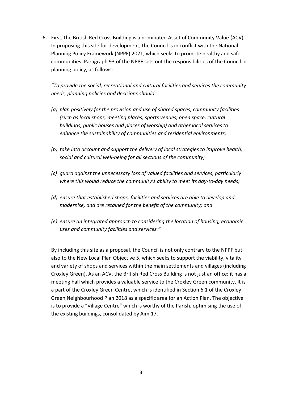6. First, the British Red Cross Building is a nominated Asset of Community Value (ACV). In proposing this site for development, the Council is in conflict with the National Planning Policy Framework (NPPF) 2021, which seeks to promote healthy and safe communities. Paragraph 93 of the NPPF sets out the responsibilities of the Council in planning policy, as follows:

*"To provide the social, recreational and cultural facilities and services the community needs, planning policies and decisions should:*

- *(a) plan positively for the provision and use of shared spaces, community facilities (such as local shops, meeting places, sports venues, open space, cultural buildings, public houses and places of worship) and other local services to enhance the sustainability of communities and residential environments;*
- *(b) take into account and support the delivery of local strategies to improve health, social and cultural well-being for all sections of the community;*
- *(c) guard against the unnecessary loss of valued facilities and services, particularly where this would reduce the community's ability to meet its day-to-day needs;*
- *(d) ensure that established shops, facilities and services are able to develop and modernise, and are retained for the benefit of the community; and*
- *(e) ensure an integrated approach to considering the location of housing, economic uses and community facilities and services."*

By including this site as a proposal, the Council is not only contrary to the NPPF but also to the New Local Plan Objective 5, which seeks to support the viability, vitality and variety of shops and services within the main settlements and villages (including Croxley Green). As an ACV, the British Red Cross Building is not just an office; it has a meeting hall which provides a valuable service to the Croxley Green community. It is a part of the Croxley Green Centre, which is identified in Section 6.1 of the Croxley Green Neighbourhood Plan 2018 as a specific area for an Action Plan. The objective is to provide a "Village Centre" which is worthy of the Parish, optimising the use of the existing buildings, consolidated by Aim 17.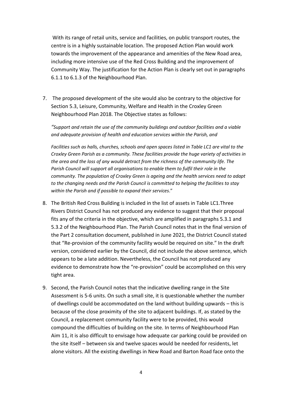With its range of retail units, service and facilities, on public transport routes, the centre is in a highly sustainable location. The proposed Action Plan would work towards the improvement of the appearance and amenities of the New Road area, including more intensive use of the Red Cross Building and the improvement of Community Way. The justification for the Action Plan is clearly set out in paragraphs 6.1.1 to 6.1.3 of the Neighbourhood Plan.

7. The proposed development of the site would also be contrary to the objective for Section 5.3, Leisure, Community, Welfare and Health in the Croxley Green Neighbourhood Plan 2018. The Objective states as follows:

*"Support and retain the use of the community buildings and outdoor facilities and a viable and adequate provision of health and education services within the Parish, and* 

*Facilities such as halls, churches, schools and open spaces listed in Table LC1 are vital to the Croxley Green Parish as a community. These facilities provide the huge variety of activities in the area and the loss of any would detract from the richness of the community life. The Parish Council will support all organisations to enable them to fulfil their role in the community. The population of Croxley Green is ageing and the health services need to adapt to the changing needs and the Parish Council is committed to helping the facilities to stay within the Parish and if possible to expand their services*."

- 8. The British Red Cross Building is included in the list of assets in Table LC1.Three Rivers District Council has not produced any evidence to suggest that their proposal fits any of the criteria in the objective, which are amplified in paragraphs 5.3.1 and 5.3.2 of the Neighbourhood Plan. The Parish Council notes that in the final version of the Part 2 consultation document, published in June 2021, the District Council stated that "Re-provision of the community facility would be required on site." In the draft version, considered earlier by the Council, did not include the above sentence, which appears to be a late addition. Nevertheless, the Council has not produced any evidence to demonstrate how the "re-provision" could be accomplished on this very tight area.
- 9. Second, the Parish Council notes that the indicative dwelling range in the Site Assessment is 5-6 units. On such a small site, it is questionable whether the number of dwellings could be accommodated on the land without building upwards – this is because of the close proximity of the site to adjacent buildings. If, as stated by the Council, a replacement community facility were to be provided, this would compound the difficulties of building on the site. In terms of Neighbourhood Plan Aim 11, it is also difficult to envisage how adequate car parking could be provided on the site itself – between six and twelve spaces would be needed for residents, let alone visitors. All the existing dwellings in New Road and Barton Road face onto the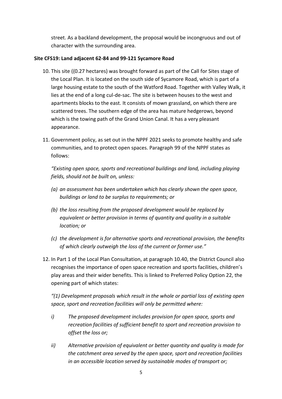street. As a backland development, the proposal would be incongruous and out of character with the surrounding area.

### **Site CFS19: Land adjacent 62-84 and 99-121 Sycamore Road**

- 10. This site ((0.27 hectares) was brought forward as part of the Call for Sites stage of the Local Plan. It is located on the south side of Sycamore Road, which is part of a large housing estate to the south of the Watford Road. Together with Valley Walk, it lies at the end of a long cul-de-sac. The site is between houses to the west and apartments blocks to the east. It consists of mown grassland, on which there are scattered trees. The southern edge of the area has mature hedgerows, beyond which is the towing path of the Grand Union Canal. It has a very pleasant appearance.
- 11. Government policy, as set out in the NPPF 2021 seeks to promote healthy and safe communities, and to protect open spaces. Paragraph 99 of the NPPF states as follows:

*"Existing open space, sports and recreational buildings and land, including playing fields, should not be built on, unless:*

- *(a) an assessment has been undertaken which has clearly shown the open space, buildings or land to be surplus to requirements; or*
- *(b) the loss resulting from the proposed development would be replaced by equivalent or better provision in terms of quantity and quality in a suitable location; or*
- *(c) the development is for alternative sports and recreational provision, the benefits of which clearly outweigh the loss of the current or former use."*
- 12. In Part 1 of the Local Plan Consultation, at paragraph 10.40, the District Council also recognises the importance of open space recreation and sports facilities, children's play areas and their wider benefits. This is linked to Preferred Policy Option 22, the opening part of which states:

*"(1) Development proposals which result in the whole or partial loss of existing open space, sport and recreation facilities will only be permitted where:*

- *i) The proposed development includes provision for open space, sports and recreation facilities of sufficient benefit to sport and recreation provision to offset the loss or;*
- *ii) Alternative provision of equivalent or better quantity and quality is made for the catchment area served by the open space, sport and recreation facilities in an accessible location served by sustainable modes of transport or;*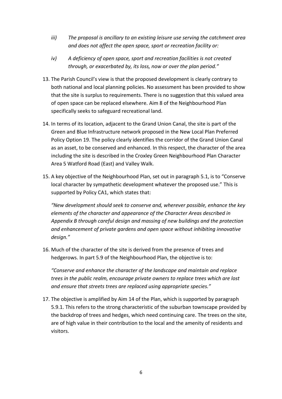- *iii) The proposal is ancillary to an existing leisure use serving the catchment area and does not affect the open space, sport or recreation facility or:*
- *iv) A deficiency of open space, sport and recreation facilities is not created through, or exacerbated by, its loss, now or over the plan period."*
- 13. The Parish Council's view is that the proposed development is clearly contrary to both national and local planning policies. No assessment has been provided to show that the site is surplus to requirements. There is no suggestion that this valued area of open space can be replaced elsewhere. Aim 8 of the Neighbourhood Plan specifically seeks to safeguard recreational land.
- 14. In terms of its location, adjacent to the Grand Union Canal, the site is part of the Green and Blue Infrastructure network proposed in the New Local Plan Preferred Policy Option 19. The policy clearly identifies the corridor of the Grand Union Canal as an asset, to be conserved and enhanced. In this respect, the character of the area including the site is described in the Croxley Green Neighbourhood Plan Character Area 5 Watford Road (East) and Valley Walk.
- 15. A key objective of the Neighbourhood Plan, set out in paragraph 5.1, is to "Conserve local character by sympathetic development whatever the proposed use." This is supported by Policy CA1, which states that:

*"New development should seek to conserve and, wherever possible, enhance the key elements of the character and appearance of the Character Areas described in Appendix B through careful design and massing of new buildings and the protection and enhancement of private gardens and open space without inhibiting innovative design."*

16. Much of the character of the site is derived from the presence of trees and hedgerows. In part 5.9 of the Neighbourhood Plan, the objective is to:

*"Conserve and enhance the character of the landscape and maintain and replace trees in the public realm, encourage private owners to replace trees which are lost and ensure that streets trees are replaced using appropriate species."*

17. The objective is amplified by Aim 14 of the Plan, which is supported by paragraph 5.9.1. This refers to the strong characteristic of the suburban townscape provided by the backdrop of trees and hedges, which need continuing care. The trees on the site, are of high value in their contribution to the local and the amenity of residents and visitors.